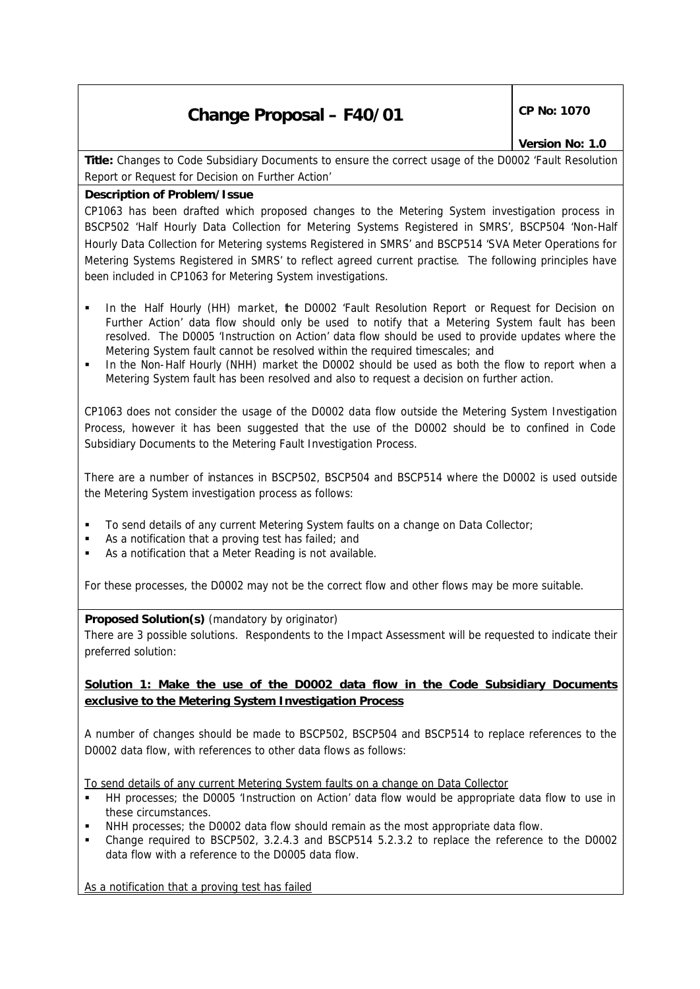# **Change Proposal – F40/01 CP No: 1070**

# *Version No: 1.0*

**Title:** Changes to Code Subsidiary Documents to ensure the correct usage of the D0002 'Fault Resolution Report or Request for Decision on Further Action'

# **Description of Problem/Issue**

CP1063 has been drafted which proposed changes to the Metering System investigation process in BSCP502 'Half Hourly Data Collection for Metering Systems Registered in SMRS', BSCP504 'Non-Half Hourly Data Collection for Metering systems Registered in SMRS' and BSCP514 'SVA Meter Operations for Metering Systems Registered in SMRS' to reflect agreed current practise. The following principles have been included in CP1063 for Metering System investigations.

- ß In the Half Hourly (HH) market, the D0002 'Fault Resolution Report or Request for Decision on Further Action' data flow should only be used to notify that a Metering System fault has been resolved. The D0005 'Instruction on Action' data flow should be used to provide updates where the Metering System fault cannot be resolved within the required timescales; and
- ß In the Non-Half Hourly (NHH) market the D0002 should be used as both the flow to report when a Metering System fault has been resolved and also to request a decision on further action.

CP1063 does not consider the usage of the D0002 data flow outside the Metering System Investigation Process, however it has been suggested that the use of the D0002 should be to confined in Code Subsidiary Documents to the Metering Fault Investigation Process.

There are a number of instances in BSCP502, BSCP504 and BSCP514 where the D0002 is used outside the Metering System investigation process as follows:

- ß To send details of any current Metering System faults on a change on Data Collector;
- ß As a notification that a proving test has failed; and
- ß As a notification that a Meter Reading is not available.

For these processes, the D0002 may not be the correct flow and other flows may be more suitable.

### **Proposed Solution(s)** *(mandatory by originator)*

There are 3 possible solutions. Respondents to the Impact Assessment will be requested to indicate their preferred solution:

# **Solution 1: Make the use of the D0002 data flow in the Code Subsidiary Documents exclusive to the Metering System Investigation Process**

A number of changes should be made to BSCP502, BSCP504 and BSCP514 to replace references to the D0002 data flow, with references to other data flows as follows:

To send details of any current Metering System faults on a change on Data Collector

- ß HH processes; the D0005 'Instruction on Action' data flow would be appropriate data flow to use in these circumstances.
- NHH processes; the D0002 data flow should remain as the most appropriate data flow.
- ß Change required to BSCP502, 3.2.4.3 and BSCP514 5.2.3.2 to replace the reference to the D0002 data flow with a reference to the D0005 data flow.

As a notification that a proving test has failed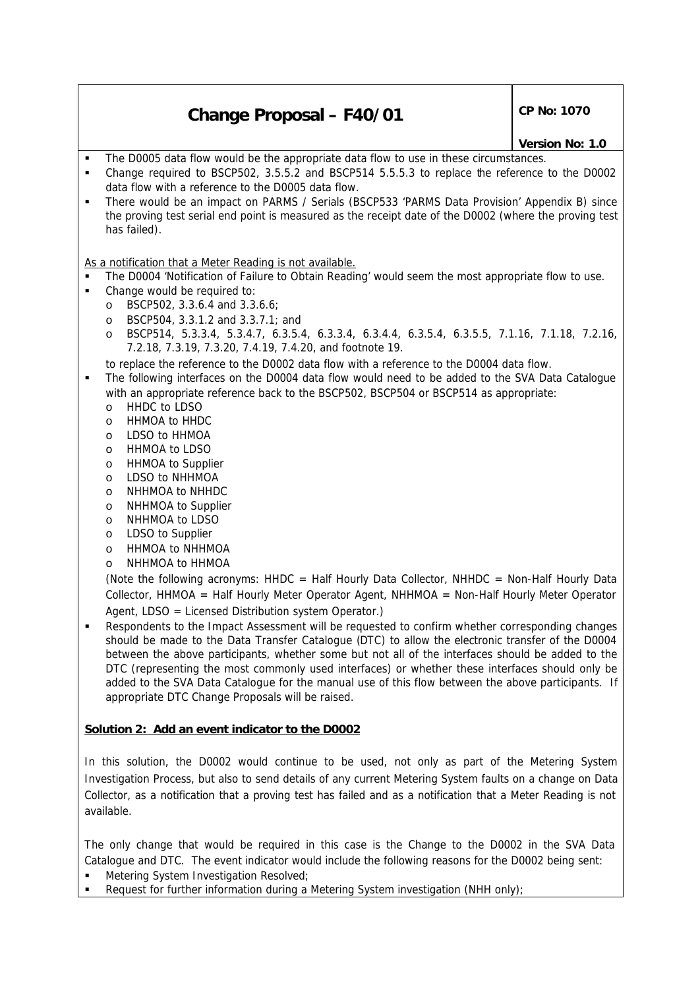# **Change Proposal – F40/01** CP No: 1070

#### *Version No: 1.0*

- ß The D0005 data flow would be the appropriate data flow to use in these circumstances.
- ß Change required to BSCP502, 3.5.5.2 and BSCP514 5.5.5.3 to replace the reference to the D0002 data flow with a reference to the D0005 data flow.
- ß There would be an impact on PARMS / Serials (BSCP533 'PARMS Data Provision' Appendix B) since the proving test serial end point is measured as the receipt date of the D0002 (where the proving test has failed).

### As a notification that a Meter Reading is not available.

- ß The D0004 'Notification of Failure to Obtain Reading' would seem the most appropriate flow to use.
- Change would be required to:
	- o BSCP502, 3.3.6.4 and 3.3.6.6;
	- o BSCP504, 3.3.1.2 and 3.3.7.1; and
	- o BSCP514, 5.3.3.4, 5.3.4.7, 6.3.5.4, 6.3.3.4, 6.3.4.4, 6.3.5.4, 6.3.5.5, 7.1.16, 7.1.18, 7.2.16, 7.2.18, 7.3.19, 7.3.20, 7.4.19, 7.4.20, and footnote 19.
	- to replace the reference to the D0002 data flow with a reference to the D0004 data flow.
- The following interfaces on the D0004 data flow would need to be added to the SVA Data Catalogue with an appropriate reference back to the BSCP502, BSCP504 or BSCP514 as appropriate:
	- o HHDC to LDSO
	- o HHMOA to HHDC
	- o LDSO to HHMOA
	- o HHMOA to LDSO
	- o HHMOA to Supplier
	- o LDSO to NHHMOA
	- o NHHMOA to NHHDC
	- o NHHMOA to Supplier
	- o NHHMOA to LDSO
	- o LDSO to Supplier
	- o HHMOA to NHHMOA
	- o NHHMOA to HHMOA

(Note the following acronyms: HHDC = Half Hourly Data Collector, NHHDC = Non-Half Hourly Data Collector, HHMOA = Half Hourly Meter Operator Agent, NHHMOA = Non-Half Hourly Meter Operator Agent, LDSO = Licensed Distribution system Operator.)

ß Respondents to the Impact Assessment will be requested to confirm whether corresponding changes should be made to the Data Transfer Catalogue (DTC) to allow the electronic transfer of the D0004 between the above participants, whether some but not all of the interfaces should be added to the DTC (representing the most commonly used interfaces) or whether these interfaces should only be added to the SVA Data Catalogue for the manual use of this flow between the above participants. If appropriate DTC Change Proposals will be raised.

# **Solution 2: Add an event indicator to the D0002**

In this solution, the D0002 would continue to be used, not only as part of the Metering System Investigation Process, but also to send details of any current Metering System faults on a change on Data Collector, as a notification that a proving test has failed and as a notification that a Meter Reading is not available.

The only change that would be required in this case is the Change to the D0002 in the SVA Data Catalogue and DTC. The event indicator would include the following reasons for the D0002 being sent:

- ß Metering System Investigation Resolved;
- Request for further information during a Metering System investigation (NHH only);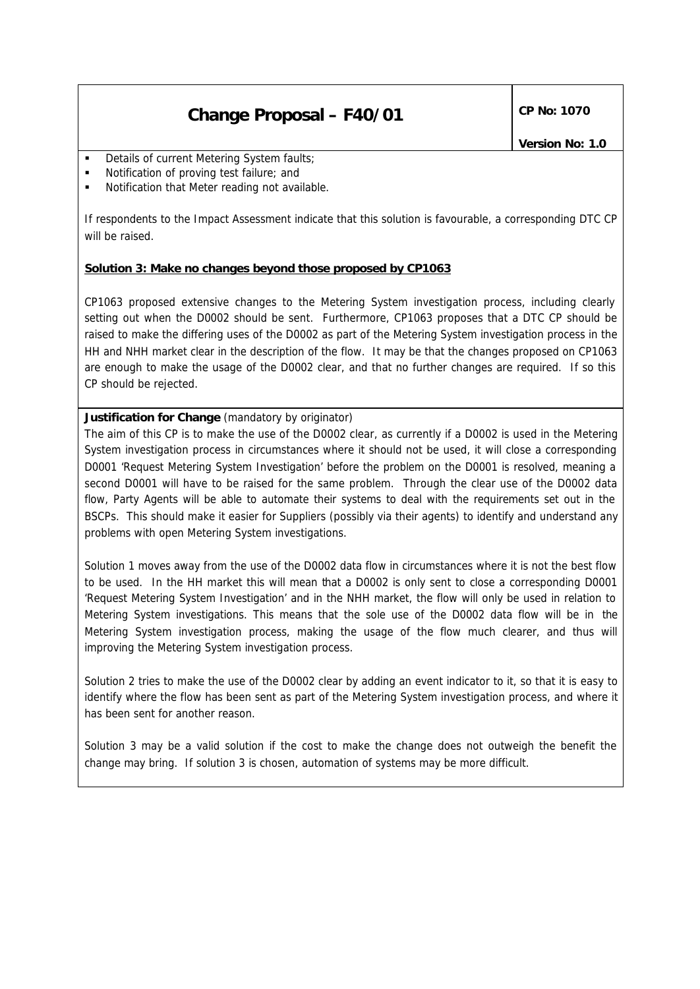# **Change Proposal – F40/01** CP No: 1070

- Details of current Metering System faults;
- ß Notification of proving test failure; and
- ß Notification that Meter reading not available.

If respondents to the Impact Assessment indicate that this solution is favourable, a corresponding DTC CP will be raised.

# **Solution 3: Make no changes beyond those proposed by CP1063**

CP1063 proposed extensive changes to the Metering System investigation process, including clearly setting out when the D0002 should be sent. Furthermore, CP1063 proposes that a DTC CP should be raised to make the differing uses of the D0002 as part of the Metering System investigation process in the HH and NHH market clear in the description of the flow. It may be that the changes proposed on CP1063 are enough to make the usage of the D0002 clear, and that no further changes are required. If so this CP should be rejected.

# **Justification for Change** *(mandatory by originator)*

The aim of this CP is to make the use of the D0002 clear, as currently if a D0002 is used in the Metering System investigation process in circumstances where it should not be used, it will close a corresponding D0001 'Request Metering System Investigation' before the problem on the D0001 is resolved, meaning a second D0001 will have to be raised for the same problem. Through the clear use of the D0002 data flow, Party Agents will be able to automate their systems to deal with the requirements set out in the BSCPs. This should make it easier for Suppliers (possibly via their agents) to identify and understand any problems with open Metering System investigations.

Solution 1 moves away from the use of the D0002 data flow in circumstances where it is not the best flow to be used. In the HH market this will mean that a D0002 is only sent to close a corresponding D0001 'Request Metering System Investigation' and in the NHH market, the flow will only be used in relation to Metering System investigations. This means that the sole use of the D0002 data flow will be in the Metering System investigation process, making the usage of the flow much clearer, and thus will improving the Metering System investigation process.

Solution 2 tries to make the use of the D0002 clear by adding an event indicator to it, so that it is easy to identify where the flow has been sent as part of the Metering System investigation process, and where it has been sent for another reason.

Solution 3 may be a valid solution if the cost to make the change does not outweigh the benefit the change may bring. If solution 3 is chosen, automation of systems may be more difficult.